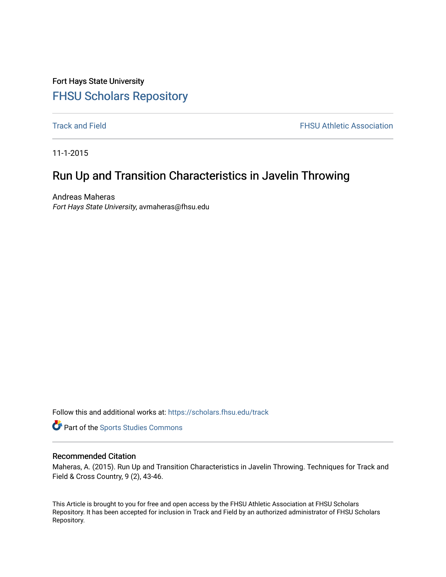Fort Hays State University [FHSU Scholars Repository](https://scholars.fhsu.edu/) 

**[Track and Field](https://scholars.fhsu.edu/track) FHSU Athletic Association** 

11-1-2015

# Run Up and Transition Characteristics in Javelin Throwing

Andreas Maheras Fort Hays State University, avmaheras@fhsu.edu

Follow this and additional works at: [https://scholars.fhsu.edu/track](https://scholars.fhsu.edu/track?utm_source=scholars.fhsu.edu%2Ftrack%2F18&utm_medium=PDF&utm_campaign=PDFCoverPages) 

Part of the [Sports Studies Commons](http://network.bepress.com/hgg/discipline/1198?utm_source=scholars.fhsu.edu%2Ftrack%2F18&utm_medium=PDF&utm_campaign=PDFCoverPages) 

## Recommended Citation

Maheras, A. (2015). Run Up and Transition Characteristics in Javelin Throwing. Techniques for Track and Field & Cross Country, 9 (2), 43-46.

This Article is brought to you for free and open access by the FHSU Athletic Association at FHSU Scholars Repository. It has been accepted for inclusion in Track and Field by an authorized administrator of FHSU Scholars Repository.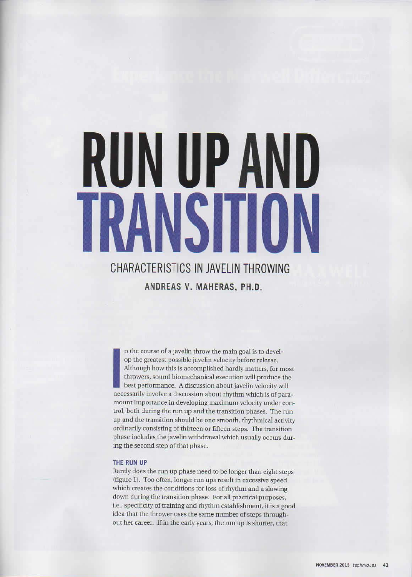# **RUN UP AND NSTIO** HVA

# **CHARACTERISTICS IN JAVELIN THROWING ANDREAS V. MAHERAS, PH.D.**

I in the course of a javelin throw the main goal is to develop the greatest possible javelin velocity before release.<br>Although how this is accomplished hardly matters, for most throwers, sound biomechanical execution will op the greatest possible javelin velocity before release. Although how this is accomplished hardly matters, for most throwers, sound biomechanical execution will produce the best performance. A discussion about javelin velocity will mount importance in developing maximum velocity under conrrol, both during the run up and the transition phases. The run up and the transition should be one smooth, rhythmical activity ordinarily consisting of thirteen or fifteen steps. The transition phase includes the javelin withdrawal which usually occurs during the second step of that phase.

#### **THE RUN UP**

Rarely does the run up phase need to be longer than eight steps (figure 1). Too often, longer run ups result in excessive speed which creates the conditions for loss of rhythm and a slowing down during the transition phase. For all practical purposes, i.e., specificity of training and rhythm establishment, it is a good idea that the thrower uses the same number of steps throughout her career. lf in the early years, the run up is shorter, that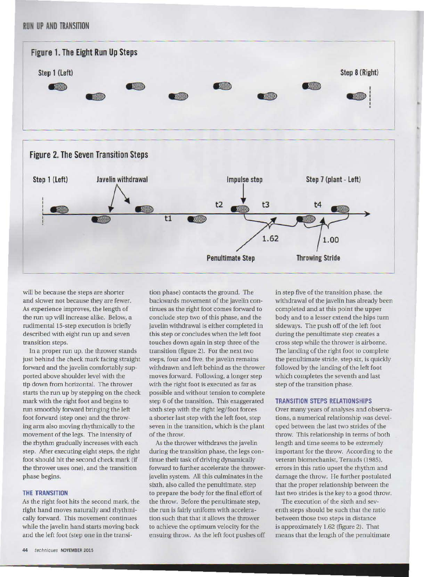# **RUN UP AND TRANSITION**





will be because the steps are shorter and slower not because they are fewer. As experience improves, the length of the run up will increase alike. Below, a rudimental 15-step execution is briefly described with eight run up and seven transition steps.

In a proper run up, the thrower stands just behind the check mark facing straight forward and the javelin comfortably supported above shoulder level with the tip down from horizontal. The thrower starts the run up by stepping on the check mark with the right foot and begins to run smoothly forward bringing the left foot forward (step one) and the throwing arm also moving rhythmically to the movemem of the legs. The intensity of the rhythm gradually increases with each step. After executing eight steps, the right foot should hit the second check mark (if the thrower uses one), and the rransition phase begins.

#### **THE TRANSITION**

As the right foot hits the second mark, the tight hand moves naturally and rhythmically forward. This movement continues while the javelin hand starts moving back and the left foot (step one in the transi-

tion phase) contacts the ground. The backwards movement of the javelin continues as the right foot comes forward to conclude step two of this phase, and the javelin withdrawal is either completed in this step or concludes when the left foot touches down again in step three of the transition (figure 2). For the next two steps, four and five, the javelin remains withdrawn and left behind as the thrower moves forward. Following, a longer step with the right foot is executed as far as possible and without tension to complete step 6 of the transition. This exaggerated sixth step with the right leg/foot forces a shorter last step with the left foot, step seven in the transition, which is the plant of the throw.

As the thrower withdraws the javelin during the transition phase, the legs continue their task of driving dynamically forward to further accelerate the throwerjavelin system. All this culminates in the sixth, also called the penultimate, step to prepare the body for the final effort of the throw. Before the penultimate step, the run is fairly uniform with acceleration such that that it allows the thrower to achieve the optimum velocity for the ensuing throw. As the left foot pushes off in step five of the transition phase, the withdrawal of the javelin has already been completed and at this point the upper body and to a lesser extend the hips turn sideways. The push off of the left foot during the penultimate step creates a cross step while the thrower is airborne. The landing of the right foot to complete the penultimate stride, step six, is quickly followed by the landing of the left foot which completes the seventh and last step of the transition phase.

I 1 l l

I

#### **TRANSITION STEPS RELATIONSHIPS**

Over many years of analyses and observations. a numerical relationship was developed between the last two strides of the throw. This relationship in terms of both length and time seems to be extremely important for the throw. According to the veteran biomechanist, Terauds (1985), errors in this ratio upset the rhythm and damage the throw. Ile further postulated that the proper relationship between the last two strides is the key to a good throw.

The execution of the sixth and seventh steps should be such that the ratio between those two steps in distance is approximately 1.62 (figure 2). That means that the length of the penultimate